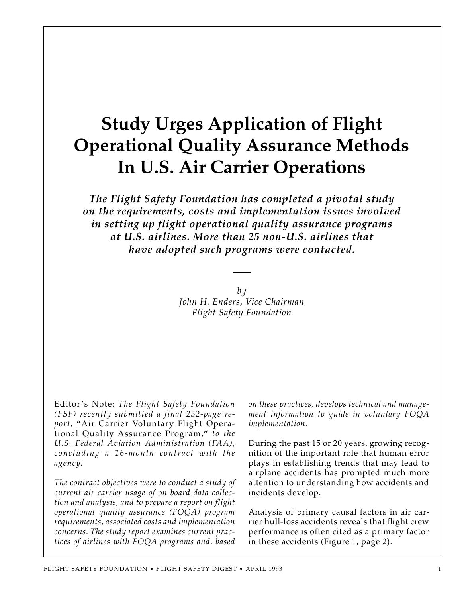# **Study Urges Application of Flight Operational Quality Assurance Methods In U.S. Air Carrier Operations**

*The Flight Safety Foundation has completed a pivotal study on the requirements, costs and implementation issues involved in setting up flight operational quality assurance programs at U.S. airlines. More than 25 non-U.S. airlines that have adopted such programs were contacted.*

> *by John H. Enders, Vice Chairman Flight Safety Foundation*

Editor's Note: *The Flight Safety Foundation (FSF) recently submitted a final 252-page report,* **"**Air Carrier Voluntary Flight Operational Quality Assurance Program,**"** *to the U.S. Federal Aviation Administration (FAA), concluding a 16-month contract with the agency.*

*The contract objectives were to conduct a study of current air carrier usage of on board data collection and analysis, and to prepare a report on flight operational quality assurance (FOQA) program requirements, associated costs and implementation concerns. The study report examines current practices of airlines with FOQA programs and, based*

*on these practices, develops technical and management information to guide in voluntary FOQA implementation.*

During the past 15 or 20 years, growing recognition of the important role that human error plays in establishing trends that may lead to airplane accidents has prompted much more attention to understanding how accidents and incidents develop.

Analysis of primary causal factors in air carrier hull-loss accidents reveals that flight crew performance is often cited as a primary factor in these accidents (Figure 1, page 2).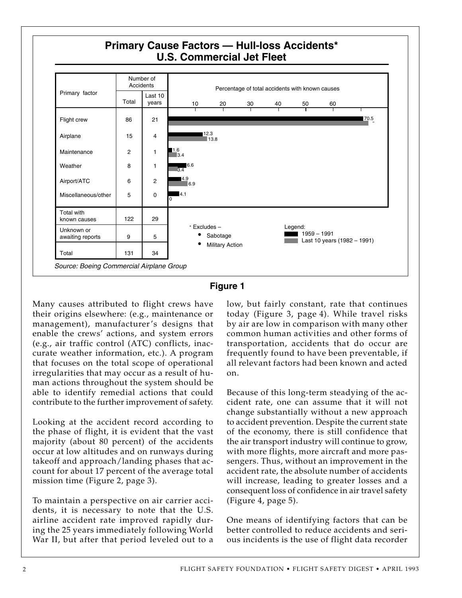



Many causes attributed to flight crews have their origins elsewhere: (e.g., maintenance or management), manufacturer's designs that enable the crews' actions, and system errors (e.g., air traffic control (ATC) conflicts, inaccurate weather information, etc.). A program that focuses on the total scope of operational irregularities that may occur as a result of human actions throughout the system should be able to identify remedial actions that could contribute to the further improvement of safety.

Looking at the accident record according to the phase of flight, it is evident that the vast majority (about 80 percent) of the accidents occur at low altitudes and on runways during takeoff and approach/landing phases that account for about 17 percent of the average total mission time (Figure 2, page 3).

To maintain a perspective on air carrier accidents, it is necessary to note that the U.S. airline accident rate improved rapidly during the 25 years immediately following World War II, but after that period leveled out to a low, but fairly constant, rate that continues today (Figure 3, page 4). While travel risks by air are low in comparison with many other common human activities and other forms of transportation, accidents that do occur are frequently found to have been preventable, if all relevant factors had been known and acted on.

Because of this long-term steadying of the accident rate, one can assume that it will not change substantially without a new approach to accident prevention. Despite the current state of the economy, there is still confidence that the air transport industry will continue to grow, with more flights, more aircraft and more passengers. Thus, without an improvement in the accident rate, the absolute number of accidents will increase, leading to greater losses and a consequent loss of confidence in air travel safety (Figure 4, page 5).

One means of identifying factors that can be better controlled to reduce accidents and serious incidents is the use of flight data recorder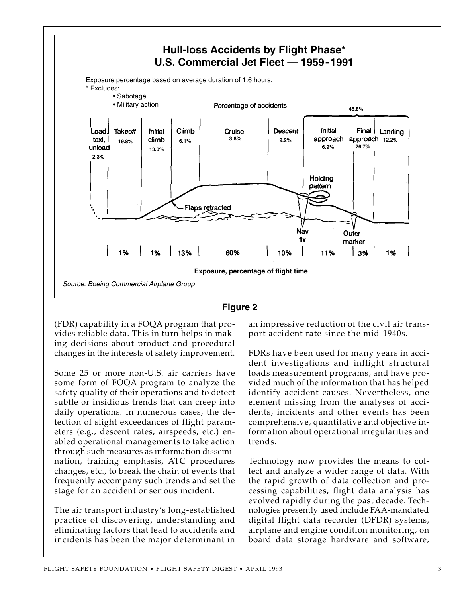



(FDR) capability in a FOQA program that provides reliable data. This in turn helps in making decisions about product and procedural changes in the interests of safety improvement.

Some 25 or more non-U.S. air carriers have some form of FOQA program to analyze the safety quality of their operations and to detect subtle or insidious trends that can creep into daily operations. In numerous cases, the detection of slight exceedances of flight parameters (e.g., descent rates, airspeeds, etc.) enabled operational managements to take action through such measures as information dissemination, training emphasis, ATC procedures changes, etc., to break the chain of events that frequently accompany such trends and set the stage for an accident or serious incident.

The air transport industry's long-established practice of discovering, understanding and eliminating factors that lead to accidents and incidents has been the major determinant in an impressive reduction of the civil air transport accident rate since the mid-1940s.

FDRs have been used for many years in accident investigations and inflight structural loads measurement programs, and have provided much of the information that has helped identify accident causes. Nevertheless, one element missing from the analyses of accidents, incidents and other events has been comprehensive, quantitative and objective information about operational irregularities and trends.

Technology now provides the means to collect and analyze a wider range of data. With the rapid growth of data collection and processing capabilities, flight data analysis has evolved rapidly during the past decade. Technologies presently used include FAA-mandated digital flight data recorder (DFDR) systems, airplane and engine condition monitoring, on board data storage hardware and software,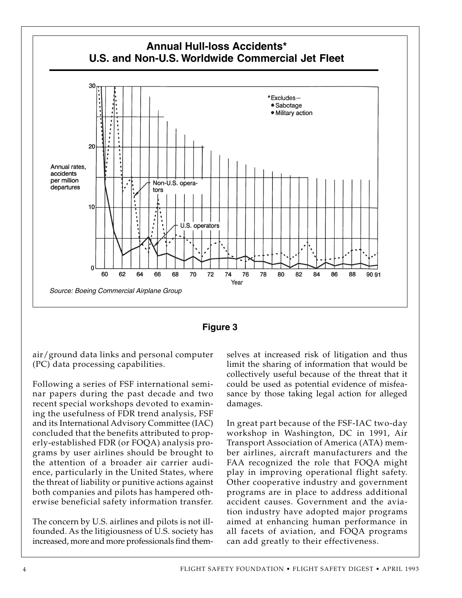



air/ground data links and personal computer (PC) data processing capabilities.

Following a series of FSF international seminar papers during the past decade and two recent special workshops devoted to examining the usefulness of FDR trend analysis, FSF and its International Advisory Committee (IAC) concluded that the benefits attributed to properly-established FDR (or FOQA) analysis programs by user airlines should be brought to the attention of a broader air carrier audience, particularly in the United States, where the threat of liability or punitive actions against both companies and pilots has hampered otherwise beneficial safety information transfer.

The concern by U.S. airlines and pilots is not illfounded. As the litigiousness of U.S. society has increased, more and more professionals find themselves at increased risk of litigation and thus limit the sharing of information that would be collectively useful because of the threat that it could be used as potential evidence of misfeasance by those taking legal action for alleged damages.

In great part because of the FSF-IAC two-day workshop in Washington, DC in 1991, Air Transport Association of America (ATA) member airlines, aircraft manufacturers and the FAA recognized the role that FOQA might play in improving operational flight safety. Other cooperative industry and government programs are in place to address additional accident causes. Government and the aviation industry have adopted major programs aimed at enhancing human performance in all facets of aviation, and FOQA programs can add greatly to their effectiveness.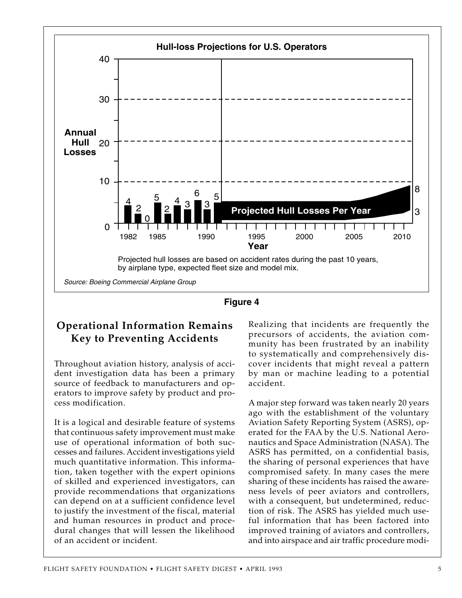



# **Operational Information Remains Key to Preventing Accidents**

Throughout aviation history, analysis of accident investigation data has been a primary source of feedback to manufacturers and operators to improve safety by product and process modification.

It is a logical and desirable feature of systems that continuous safety improvement must make use of operational information of both successes and failures. Accident investigations yield much quantitative information. This information, taken together with the expert opinions of skilled and experienced investigators, can provide recommendations that organizations can depend on at a sufficient confidence level to justify the investment of the fiscal, material and human resources in product and procedural changes that will lessen the likelihood of an accident or incident.

Realizing that incidents are frequently the precursors of accidents, the aviation community has been frustrated by an inability to systematically and comprehensively discover incidents that might reveal a pattern by man or machine leading to a potential accident.

A major step forward was taken nearly 20 years ago with the establishment of the voluntary Aviation Safety Reporting System (ASRS), operated for the FAA by the U.S. National Aeronautics and Space Administration (NASA). The ASRS has permitted, on a confidential basis, the sharing of personal experiences that have compromised safety. In many cases the mere sharing of these incidents has raised the awareness levels of peer aviators and controllers, with a consequent, but undetermined, reduction of risk. The ASRS has yielded much useful information that has been factored into improved training of aviators and controllers, and into airspace and air traffic procedure modi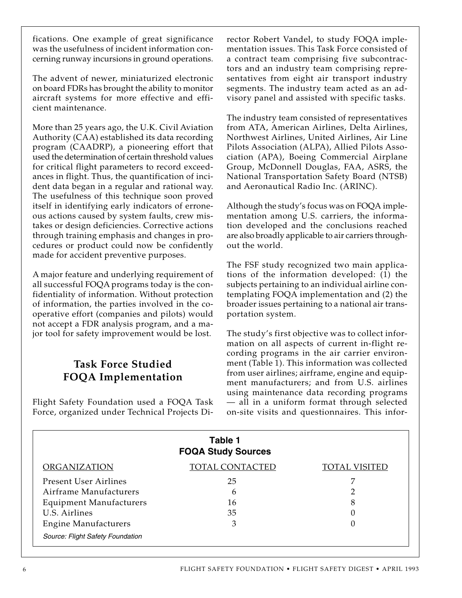fications. One example of great significance was the usefulness of incident information concerning runway incursions in ground operations.

The advent of newer, miniaturized electronic on board FDRs has brought the ability to monitor aircraft systems for more effective and efficient maintenance.

More than 25 years ago, the U.K. Civil Aviation Authority (CAA) established its data recording program (CAADRP), a pioneering effort that used the determination of certain threshold values for critical flight parameters to record exceedances in flight. Thus, the quantification of incident data began in a regular and rational way. The usefulness of this technique soon proved itself in identifying early indicators of erroneous actions caused by system faults, crew mistakes or design deficiencies. Corrective actions through training emphasis and changes in procedures or product could now be confidently made for accident preventive purposes.

A major feature and underlying requirement of all successful FOQA programs today is the confidentiality of information. Without protection of information, the parties involved in the cooperative effort (companies and pilots) would not accept a FDR analysis program, and a major tool for safety improvement would be lost.

# **Task Force Studied FOQA Implementation**

Flight Safety Foundation used a FOQA Task Force, organized under Technical Projects Director Robert Vandel, to study FOQA implementation issues. This Task Force consisted of a contract team comprising five subcontractors and an industry team comprising representatives from eight air transport industry segments. The industry team acted as an advisory panel and assisted with specific tasks.

The industry team consisted of representatives from ATA, American Airlines, Delta Airlines, Northwest Airlines, United Airlines, Air Line Pilots Association (ALPA), Allied Pilots Association (APA), Boeing Commercial Airplane Group, McDonnell Douglas, FAA, ASRS, the National Transportation Safety Board (NTSB) and Aeronautical Radio Inc. (ARINC).

Although the study's focus was on FOQA implementation among U.S. carriers, the information developed and the conclusions reached are also broadly applicable to air carriers throughout the world.

The FSF study recognized two main applications of the information developed: (1) the subjects pertaining to an individual airline contemplating FOQA implementation and (2) the broader issues pertaining to a national air transportation system.

The study's first objective was to collect information on all aspects of current in-flight recording programs in the air carrier environment (Table 1). This information was collected from user airlines; airframe, engine and equipment manufacturers; and from U.S. airlines using maintenance data recording programs — all in a uniform format through selected on-site visits and questionnaires. This infor-

|                                  | Table 1<br><b>FOQA Study Sources</b> |                      |
|----------------------------------|--------------------------------------|----------------------|
| <b>ORGANIZATION</b>              | <b>TOTAL CONTACTED</b>               | <b>TOTAL VISITED</b> |
| <b>Present User Airlines</b>     | 25                                   |                      |
| Airframe Manufacturers           | 6                                    |                      |
| <b>Equipment Manufacturers</b>   | 16                                   | 8                    |
| U.S. Airlines                    | 35                                   |                      |
| <b>Engine Manufacturers</b>      | З                                    |                      |
| Source: Flight Safety Foundation |                                      |                      |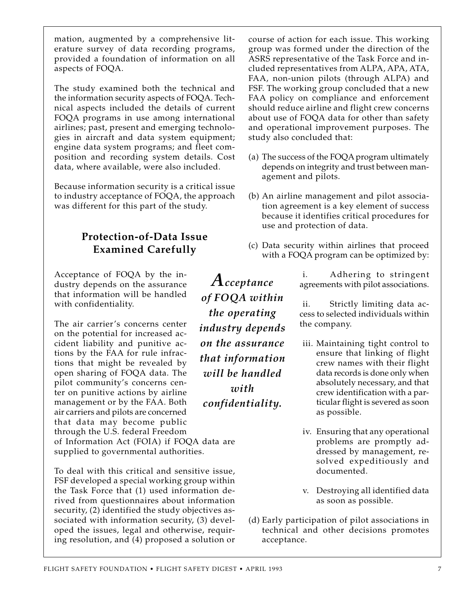mation, augmented by a comprehensive literature survey of data recording programs, provided a foundation of information on all aspects of FOQA.

The study examined both the technical and the information security aspects of FOQA. Technical aspects included the details of current FOQA programs in use among international airlines; past, present and emerging technologies in aircraft and data system equipment; engine data system programs; and fleet composition and recording system details. Cost data, where available, were also included.

Because information security is a critical issue to industry acceptance of FOQA, the approach was different for this part of the study.

# **Protection-of-Data Issue Examined Carefully**

Acceptance of FOQA by the industry depends on the assurance that information will be handled with confidentiality.

The air carrier's concerns center on the potential for increased accident liability and punitive actions by the FAA for rule infractions that might be revealed by open sharing of FOQA data. The pilot community's concerns center on punitive actions by airline management or by the FAA. Both air carriers and pilots are concerned that data may become public through the U.S. federal Freedom

of Information Act (FOIA) if FOQA data are supplied to governmental authorities.

To deal with this critical and sensitive issue, FSF developed a special working group within the Task Force that (1) used information derived from questionnaires about information security, (2) identified the study objectives associated with information security, (3) developed the issues, legal and otherwise, requiring resolution, and (4) proposed a solution or

*Acceptance of FOQA within the operating industry depends on the assurance that information will be handled with confidentiality.*

course of action for each issue. This working group was formed under the direction of the ASRS representative of the Task Force and included representatives from ALPA, APA, ATA, FAA, non-union pilots (through ALPA) and FSF. The working group concluded that a new FAA policy on compliance and enforcement should reduce airline and flight crew concerns about use of FOQA data for other than safety and operational improvement purposes. The study also concluded that:

- (a) The success of the FOQA program ultimately depends on integrity and trust between management and pilots.
- (b) An airline management and pilot association agreement is a key element of success because it identifies critical procedures for use and protection of data.
- (c) Data security within airlines that proceed with a FOQA program can be optimized by:

i. Adhering to stringent agreements with pilot associations.

ii. Strictly limiting data access to selected individuals within the company.

- iii. Maintaining tight control to ensure that linking of flight crew names with their flight data records is done only when absolutely necessary, and that crew identification with a particular flight is severed as soon as possible.
- iv. Ensuring that any operational problems are promptly addressed by management, resolved expeditiously and documented.
- v. Destroying all identified data as soon as possible.
- (d) Early participation of pilot associations in technical and other decisions promotes acceptance.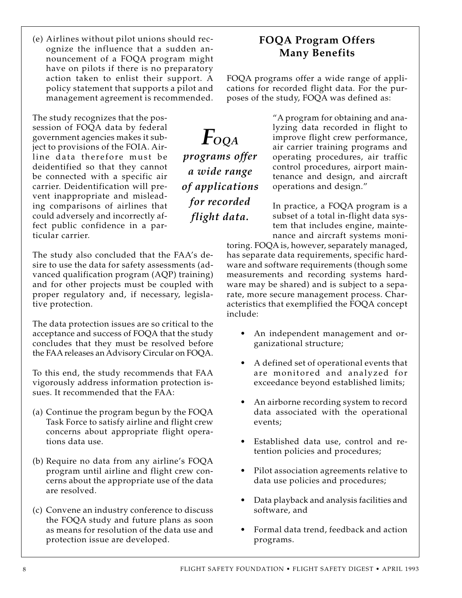(e) Airlines without pilot unions should recognize the influence that a sudden announcement of a FOQA program might have on pilots if there is no preparatory action taken to enlist their support. A policy statement that supports a pilot and management agreement is recommended.

The study recognizes that the possession of FOQA data by federal government agencies makes it subject to provisions of the FOIA. Airline data therefore must be deidentified so that they cannot be connected with a specific air carrier. Deidentification will prevent inappropriate and misleading comparisons of airlines that could adversely and incorrectly affect public confidence in a particular carrier.

The study also concluded that the FAA's desire to use the data for safety assessments (advanced qualification program (AQP) training) and for other projects must be coupled with proper regulatory and, if necessary, legislative protection.

The data protection issues are so critical to the acceptance and success of FOQA that the study concludes that they must be resolved before the FAA releases an Advisory Circular on FOQA.

To this end, the study recommends that FAA vigorously address information protection issues. It recommended that the FAA:

- (a) Continue the program begun by the FOQA Task Force to satisfy airline and flight crew concerns about appropriate flight operations data use.
- (b) Require no data from any airline's FOQA program until airline and flight crew concerns about the appropriate use of the data are resolved.
- (c) Convene an industry conference to discuss the FOQA study and future plans as soon as means for resolution of the data use and protection issue are developed.

**FOQA Program Offers Many Benefits**

FOQA programs offer a wide range of applications for recorded flight data. For the purposes of the study, FOQA was defined as:

*FOQA*

*programs offer*

*a wide range of applications*

*for recorded flight data.*

"A program for obtaining and analyzing data recorded in flight to improve flight crew performance, air carrier training programs and operating procedures, air traffic control procedures, airport maintenance and design, and aircraft operations and design."

In practice, a FOQA program is a subset of a total in-flight data system that includes engine, maintenance and aircraft systems moni-

toring. FOQA is, however, separately managed, has separate data requirements, specific hardware and software requirements (though some measurements and recording systems hardware may be shared) and is subject to a separate, more secure management process. Characteristics that exemplified the FOQA concept include:

- An independent management and organizational structure;
- A defined set of operational events that are monitored and analyzed for exceedance beyond established limits;
- An airborne recording system to record data associated with the operational events;
- Established data use, control and retention policies and procedures;
- Pilot association agreements relative to data use policies and procedures;
- Data playback and analysis facilities and software, and
- Formal data trend, feedback and action programs.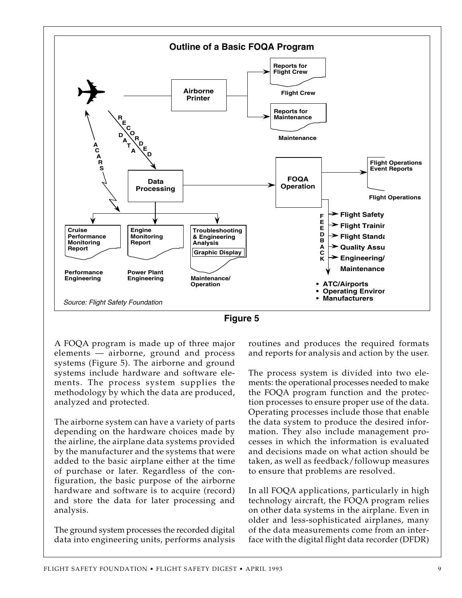



A FOQA program is made up of three major elements — airborne, ground and process systems (Figure 5). The airborne and ground systems include hardware and software elements. The process system supplies the methodology by which the data are produced, analyzed and protected.

The airborne system can have a variety of parts depending on the hardware choices made by the airline, the airplane data systems provided by the manufacturer and the systems that were added to the basic airplane either at the time of purchase or later. Regardless of the configuration, the basic purpose of the airborne hardware and software is to acquire (record) and store the data for later processing and analysis.

The ground system processes the recorded digital data into engineering units, performs analysis routines and produces the required formats and reports for analysis and action by the user.

The process system is divided into two elements: the operational processes needed to make the FOQA program function and the protection processes to ensure proper use of the data. Operating processes include those that enable the data system to produce the desired information. They also include management processes in which the information is evaluated and decisions made on what action should be taken, as well as feedback/followup measures to ensure that problems are resolved.

In all FOQA applications, particularly in high technology aircraft, the FOQA program relies on other data systems in the airplane. Even in older and less-sophisticated airplanes, many of the data measurements come from an interface with the digital flight data recorder (DFDR)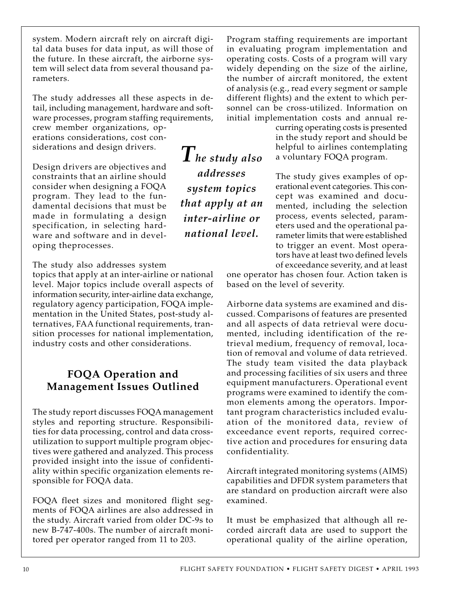system. Modern aircraft rely on aircraft digital data buses for data input, as will those of the future. In these aircraft, the airborne system will select data from several thousand parameters.

The study addresses all these aspects in detail, including management, hardware and software processes, program staffing requirements,

crew member organizations, operations considerations, cost considerations and design drivers.

Design drivers are objectives and constraints that an airline should consider when designing a FOQA program. They lead to the fundamental decisions that must be made in formulating a design specification, in selecting hardware and software and in developing theprocesses.

The study also addresses system

topics that apply at an inter-airline or national level. Major topics include overall aspects of information security, inter-airline data exchange, regulatory agency participation, FOQA implementation in the United States, post-study alternatives, FAA functional requirements, transition processes for national implementation, industry costs and other considerations.

# **FOQA Operation and Management Issues Outlined**

The study report discusses FOQA management styles and reporting structure. Responsibilities for data processing, control and data crossutilization to support multiple program objectives were gathered and analyzed. This process provided insight into the issue of confidentiality within specific organization elements responsible for FOQA data.

FOQA fleet sizes and monitored flight segments of FOQA airlines are also addressed in the study. Aircraft varied from older DC-9s to new B-747-400s. The number of aircraft monitored per operator ranged from 11 to 203.

*The study also addresses system topics that apply at an inter-airline or national level.*

Program staffing requirements are important in evaluating program implementation and operating costs. Costs of a program will vary widely depending on the size of the airline, the number of aircraft monitored, the extent of analysis (e.g., read every segment or sample different flights) and the extent to which personnel can be cross-utilized. Information on initial implementation costs and annual re-

curring operating costs is presented in the study report and should be helpful to airlines contemplating a voluntary FOQA program.

The study gives examples of operational event categories. This concept was examined and documented, including the selection process, events selected, parameters used and the operational parameter limits that were established to trigger an event. Most operators have at least two defined levels of exceedance severity, and at least

one operator has chosen four. Action taken is based on the level of severity.

Airborne data systems are examined and discussed. Comparisons of features are presented and all aspects of data retrieval were documented, including identification of the retrieval medium, frequency of removal, location of removal and volume of data retrieved. The study team visited the data playback and processing facilities of six users and three equipment manufacturers. Operational event programs were examined to identify the common elements among the operators. Important program characteristics included evaluation of the monitored data, review of exceedance event reports, required corrective action and procedures for ensuring data confidentiality.

Aircraft integrated monitoring systems (AIMS) capabilities and DFDR system parameters that are standard on production aircraft were also examined.

It must be emphasized that although all recorded aircraft data are used to support the operational quality of the airline operation,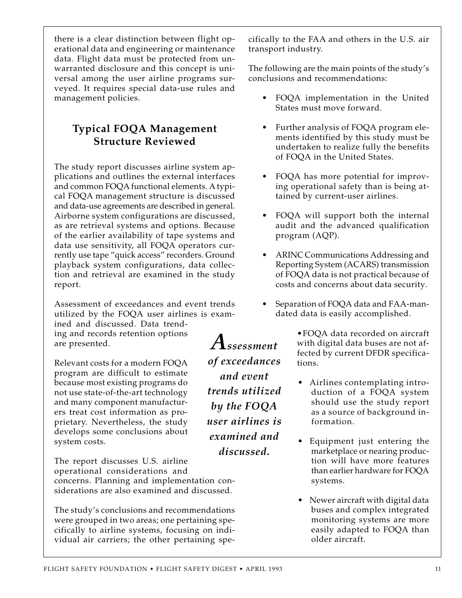there is a clear distinction between flight operational data and engineering or maintenance data. Flight data must be protected from unwarranted disclosure and this concept is universal among the user airline programs surveyed. It requires special data-use rules and management policies.

# **Typical FOQA Management Structure Reviewed**

The study report discusses airline system applications and outlines the external interfaces and common FOQA functional elements. A typical FOQA management structure is discussed and data-use agreements are described in general. Airborne system configurations are discussed, as are retrieval systems and options. Because of the earlier availability of tape systems and data use sensitivity, all FOQA operators currently use tape "quick access" recorders. Ground playback system configurations, data collection and retrieval are examined in the study report.

Assessment of exceedances and event trends utilized by the FOQA user airlines is exam-

*Assessment*

*of exceedances and event*

*trends utilized*

*by the FOQA user airlines is examined and*

*discussed.*

ined and discussed. Data trending and records retention options are presented.

Relevant costs for a modern FOQA program are difficult to estimate because most existing programs do not use state-of-the-art technology and many component manufacturers treat cost information as proprietary. Nevertheless, the study develops some conclusions about system costs.

The report discusses U.S. airline operational considerations and concerns. Planning and implementation considerations are also examined and discussed.

The study's conclusions and recommendations were grouped in two areas; one pertaining specifically to airline systems, focusing on individual air carriers; the other pertaining specifically to the FAA and others in the U.S. air transport industry.

The following are the main points of the study's conclusions and recommendations:

- FOQA implementation in the United States must move forward.
- Further analysis of FOQA program elements identified by this study must be undertaken to realize fully the benefits of FOQA in the United States.
- FOQA has more potential for improving operational safety than is being attained by current-user airlines.
- FOQA will support both the internal audit and the advanced qualification program (AQP).
- ARINC Communications Addressing and Reporting System (ACARS) transmission of FOQA data is not practical because of costs and concerns about data security.
- Separation of FOQA data and FAA-mandated data is easily accomplished.

•FOQA data recorded on aircraft with digital data buses are not affected by current DFDR specifications.

- Airlines contemplating introduction of a FOQA system should use the study report as a source of background information.
- Equipment just entering the marketplace or nearing production will have more features than earlier hardware for FOQA systems.
- Newer aircraft with digital data buses and complex integrated monitoring systems are more easily adapted to FOQA than older aircraft.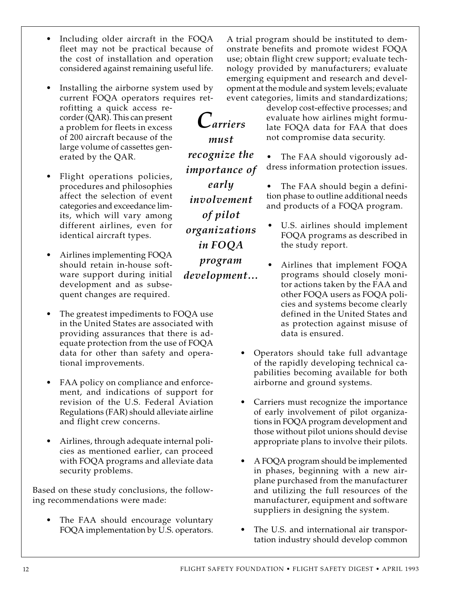- Including older aircraft in the FOQA fleet may not be practical because of the cost of installation and operation considered against remaining useful life.
- Installing the airborne system used by current FOQA operators requires retrofitting a quick access recorder (QAR). This can present a problem for fleets in excess of 200 aircraft because of the large volume of cassettes generated by the QAR.
- Flight operations policies, procedures and philosophies affect the selection of event categories and exceedance limits, which will vary among different airlines, even for identical aircraft types.
- Airlines implementing FOQA should retain in-house software support during initial development and as subsequent changes are required.
- The greatest impediments to FOQA use in the United States are associated with providing assurances that there is adequate protection from the use of FOQA data for other than safety and operational improvements.
- FAA policy on compliance and enforcement, and indications of support for revision of the U.S. Federal Aviation Regulations (FAR) should alleviate airline and flight crew concerns.
- Airlines, through adequate internal policies as mentioned earlier, can proceed with FOQA programs and alleviate data security problems.

Based on these study conclusions, the following recommendations were made:

The FAA should encourage voluntary FOQA implementation by U.S. operators. A trial program should be instituted to demonstrate benefits and promote widest FOQA use; obtain flight crew support; evaluate technology provided by manufacturers; evaluate emerging equipment and research and development at the module and system levels; evaluate event categories, limits and standardizations;

> develop cost-effective processes; and evaluate how airlines might formulate FOQA data for FAA that does not compromise data security.

> • The FAA should vigorously address information protection issues.

> The FAA should begin a definition phase to outline additional needs and products of a FOQA program.

- U.S. airlines should implement FOQA programs as described in the study report.
- Airlines that implement FOQA programs should closely monitor actions taken by the FAA and other FOQA users as FOQA policies and systems become clearly defined in the United States and as protection against misuse of data is ensured.
- Operators should take full advantage of the rapidly developing technical capabilities becoming available for both airborne and ground systems.
- Carriers must recognize the importance of early involvement of pilot organizations in FOQA program development and those without pilot unions should devise appropriate plans to involve their pilots.
- A FOQA program should be implemented in phases, beginning with a new airplane purchased from the manufacturer and utilizing the full resources of the manufacturer, equipment and software suppliers in designing the system.
- The U.S. and international air transportation industry should develop common

*must recognize the importance of early involvement of pilot organizations in FOQA program development…*

*Carriers*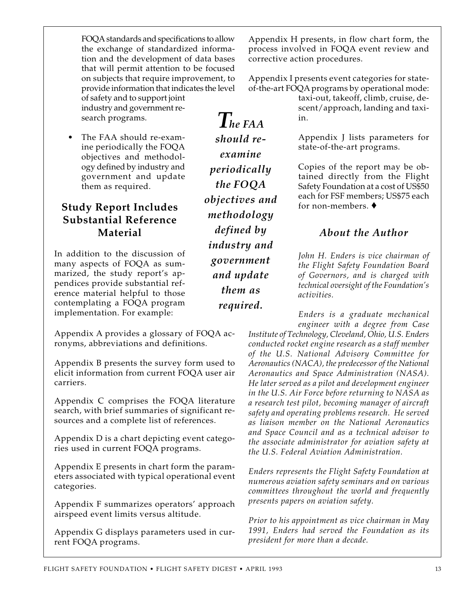FOQA standards and specifications to allow the exchange of standardized information and the development of data bases that will permit attention to be focused on subjects that require improvement, to provide information that indicates the level of safety and to support joint industry and government research programs.

• The FAA should re-examine periodically the FOQA objectives and methodology defined by industry and government and update them as required.

# **Study Report Includes Substantial Reference Material**

In addition to the discussion of many aspects of FOQA as summarized, the study report's appendices provide substantial reference material helpful to those contemplating a FOQA program implementation. For example:

Appendix A provides a glossary of FOQA acronyms, abbreviations and definitions.

Appendix B presents the survey form used to elicit information from current FOQA user air carriers.

Appendix C comprises the FOQA literature search, with brief summaries of significant resources and a complete list of references.

Appendix D is a chart depicting event categories used in current FOQA programs.

Appendix E presents in chart form the parameters associated with typical operational event categories.

Appendix F summarizes operators' approach airspeed event limits versus altitude.

Appendix G displays parameters used in current FOQA programs.

Appendix H presents, in flow chart form, the process involved in FOQA event review and corrective action procedures.

Appendix I presents event categories for stateof-the-art FOQA programs by operational mode:

> taxi-out, takeoff, climb, cruise, descent/approach, landing and taxiin.

> Appendix J lists parameters for state-of-the-art programs.

> Copies of the report may be obtained directly from the Flight Safety Foundation at a cost of US\$50 each for FSF members; US\$75 each for non-members. ♦

## *About the Author*

*John H. Enders is vice chairman of the Flight Safety Foundation Board of Governors, and is charged with technical oversight of the Foundation's activities.*

*Enders is a graduate mechanical engineer with a degree from Case*

*Institute of Technology, Cleveland, Ohio, U.S. Enders conducted rocket engine research as a staff member of the U.S. National Advisory Committee for Aeronautics (NACA), the predecessor of the National Aeronautics and Space Administration (NASA). He later served as a pilot and development engineer in the U.S. Air Force before returning to NASA as a research test pilot, becoming manager of aircraft safety and operating problems research. He served as liaison member on the National Aeronautics and Space Council and as a technical advisor to the associate administrator for aviation safety at the U.S. Federal Aviation Administration.*

*Enders represents the Flight Safety Foundation at numerous aviation safety seminars and on various committees throughout the world and frequently presents papers on aviation safety.*

*Prior to his appointment as vice chairman in May 1991, Enders had served the Foundation as its president for more than a decade.*

*The FAA should reexamine periodically the FOQA objectives and methodology defined by industry and government and update them as required.*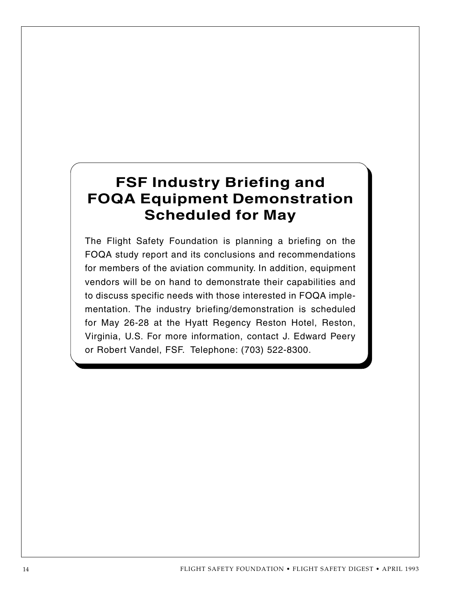# **FSF Industry Briefing and FOQA Equipment Demonstration Scheduled for May**

The Flight Safety Foundation is planning a briefing on the FOQA study report and its conclusions and recommendations for members of the aviation community. In addition, equipment vendors will be on hand to demonstrate their capabilities and to discuss specific needs with those interested in FOQA implementation. The industry briefing/demonstration is scheduled for May 26-28 at the Hyatt Regency Reston Hotel, Reston, Virginia, U.S. For more information, contact J. Edward Peery or Robert Vandel, FSF. Telephone: (703) 522-8300.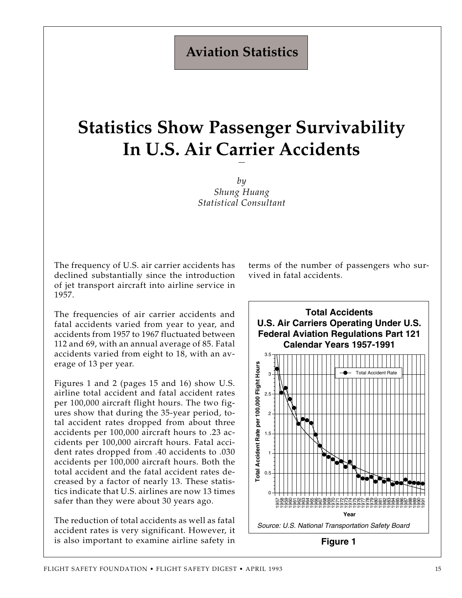# **Aviation Statistics**

# **Statistics Show Passenger Survivability In U.S. Air Carrier Accidents**

*by Shung Huang Statistical Consultant*

The frequency of U.S. air carrier accidents has declined substantially since the introduction of jet transport aircraft into airline service in 1957.

The frequencies of air carrier accidents and fatal accidents varied from year to year, and accidents from 1957 to 1967 fluctuated between 112 and 69, with an annual average of 85. Fatal accidents varied from eight to 18, with an average of 13 per year.

Figures 1 and 2 (pages 15 and 16) show U.S. airline total accident and fatal accident rates per 100,000 aircraft flight hours. The two figures show that during the 35-year period, total accident rates dropped from about three accidents per 100,000 aircraft hours to .23 accidents per 100,000 aircraft hours. Fatal accident rates dropped from .40 accidents to .030 accidents per 100,000 aircraft hours. Both the total accident and the fatal accident rates decreased by a factor of nearly 13. These statistics indicate that U.S. airlines are now 13 times safer than they were about 30 years ago.

The reduction of total accidents as well as fatal accident rates is very significant. However, it is also important to examine airline safety in terms of the number of passengers who survived in fatal accidents.

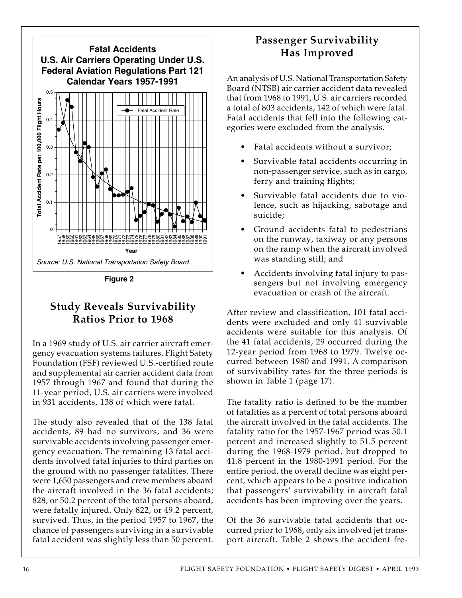

**Figure 2**

## **Study Reveals Survivability Ratios Prior to 1968**

In a 1969 study of U.S. air carrier aircraft emergency evacuation systems failures, Flight Safety Foundation (FSF) reviewed U.S.-certified route and supplemental air carrier accident data from 1957 through 1967 and found that during the 11-year period, U.S. air carriers were involved in 931 accidents, 138 of which were fatal.

The study also revealed that of the 138 fatal accidents, 89 had no survivors, and 36 were survivable accidents involving passenger emergency evacuation. The remaining 13 fatal accidents involved fatal injuries to third parties on the ground with no passenger fatalities. There were 1,650 passengers and crew members aboard the aircraft involved in the 36 fatal accidents; 828, or 50.2 percent of the total persons aboard, were fatally injured. Only 822, or 49.2 percent, survived. Thus, in the period 1957 to 1967, the chance of passengers surviving in a survivable fatal accident was slightly less than 50 percent.

# **Passenger Survivability Has Improved**

An analysis of U.S. National Transportation Safety Board (NTSB) air carrier accident data revealed that from 1968 to 1991, U.S. air carriers recorded a total of 803 accidents, 142 of which were fatal. Fatal accidents that fell into the following categories were excluded from the analysis.

- Fatal accidents without a survivor;
- Survivable fatal accidents occurring in non-passenger service, such as in cargo, ferry and training flights;
- Survivable fatal accidents due to violence, such as hijacking, sabotage and suicide;
- Ground accidents fatal to pedestrians on the runway, taxiway or any persons on the ramp when the aircraft involved was standing still; and
- Accidents involving fatal injury to passengers but not involving emergency evacuation or crash of the aircraft.

After review and classification, 101 fatal accidents were excluded and only 41 survivable accidents were suitable for this analysis. Of the 41 fatal accidents, 29 occurred during the 12-year period from 1968 to 1979. Twelve occurred between 1980 and 1991. A comparison of survivability rates for the three periods is shown in Table 1 (page 17).

The fatality ratio is defined to be the number of fatalities as a percent of total persons aboard the aircraft involved in the fatal accidents. The fatality ratio for the 1957-1967 period was 50.1 percent and increased slightly to 51.5 percent during the 1968-1979 period, but dropped to 41.8 percent in the 1980-1991 period. For the entire period, the overall decline was eight percent, which appears to be a positive indication that passengers' survivability in aircraft fatal accidents has been improving over the years.

Of the 36 survivable fatal accidents that occurred prior to 1968, only six involved jet transport aircraft. Table 2 shows the accident fre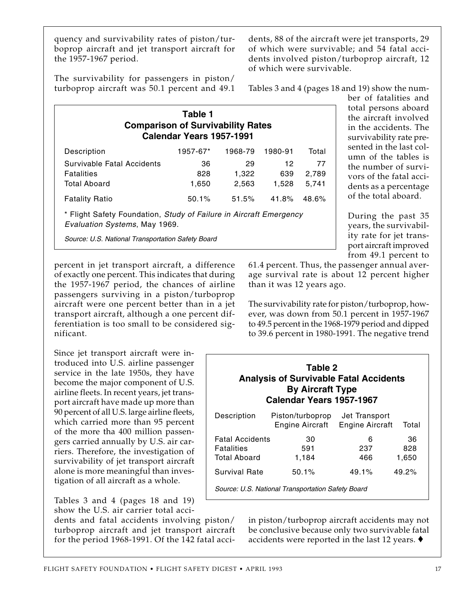quency and survivability rates of piston/turboprop aircraft and jet transport aircraft for the 1957-1967 period.

dents, 88 of the aircraft were jet transports, 29 of which were survivable; and 54 fatal accidents involved piston/turboprop aircraft, 12 of which were survivable.

The survivability for passengers in piston/ turboprop aircraft was 50.1 percent and 49.1

Tables 3 and 4 (pages 18 and 19) show the num-

ber of fatalities and total persons aboard the aircraft involved in the accidents. The survivability rate presented in the last column of the tables is the number of survivors of the fatal accidents as a percentage of the total aboard.

During the past 35 years, the survivability rate for jet transport aircraft improved

|                                                                    | Table 1<br>Calendar Years 1957-1991 | <b>Comparison of Survivability Rates</b> |         |       |
|--------------------------------------------------------------------|-------------------------------------|------------------------------------------|---------|-------|
| Description                                                        | 1957-67*                            | 1968-79                                  | 1980-91 | Total |
| Survivable Fatal Accidents                                         | 36                                  | 29                                       | 12      | 77    |
| <b>Fatalities</b>                                                  | 828                                 | 1,322                                    | 639     | 2,789 |
| <b>Total Aboard</b>                                                | 1,650                               | 2,563                                    | 1,528   | 5,741 |
| <b>Fatality Ratio</b>                                              | 50.1%                               | 51.5%                                    | 41.8%   | 48.6% |
| * Flight Safety Foundation, Study of Failure in Aircraft Emergency |                                     |                                          |         |       |

Evaluation Systems, May 1969.

Source: U.S. National Transportation Safety Board

percent in jet transport aircraft, a difference of exactly one percent. This indicates that during the 1957-1967 period, the chances of airline passengers surviving in a piston/turboprop aircraft were one percent better than in a jet transport aircraft, although a one percent differentiation is too small to be considered significant.

Since jet transport aircraft were introduced into U.S. airline passenger service in the late 1950s, they have become the major component of U.S. airline fleets. In recent years, jet transport aircraft have made up more than 90 percent of all U.S. large airline fleets, which carried more than 95 percent of the more tha 400 million passengers carried annually by U.S. air carriers. Therefore, the investigation of survivability of jet transport aircraft alone is more meaningful than investigation of all aircraft as a whole.

Tables 3 and 4 (pages 18 and 19) show the U.S. air carrier total acci-

dents and fatal accidents involving piston/ turboprop aircraft and jet transport aircraft for the period 1968-1991. Of the 142 fatal acci-

from 49.1 percent to 61.4 percent. Thus, the passenger annual average survival rate is about 12 percent higher than it was 12 years ago.

The survivability rate for piston/turboprop, however, was down from 50.1 percent in 1957-1967 to 49.5 percent in the 1968-1979 period and dipped to 39.6 percent in 1980-1991. The negative trend

| Table 2<br><b>Analysis of Survivable Fatal Accidents</b><br><b>By Aircraft Type</b><br>Calendar Years 1957-1967 |                                                   |                                         |                    |  |  |  |
|-----------------------------------------------------------------------------------------------------------------|---------------------------------------------------|-----------------------------------------|--------------------|--|--|--|
| Description                                                                                                     | Piston/turboprop<br>Engine Aircraft               | Jet Transport<br><b>Engine Aircraft</b> | Total              |  |  |  |
| <b>Fatal Accidents</b><br><b>Fatalities</b><br><b>Total Aboard</b>                                              | 30<br>591<br>1,184                                | 6<br>237<br>466                         | 36<br>828<br>1,650 |  |  |  |
| Survival Rate                                                                                                   | 50.1%                                             | $49.1\%$                                | $49.2\%$           |  |  |  |
|                                                                                                                 | Source: U.S. National Transportation Safety Board |                                         |                    |  |  |  |

in piston/turboprop aircraft accidents may not be conclusive because only two survivable fatal accidents were reported in the last 12 years. ♦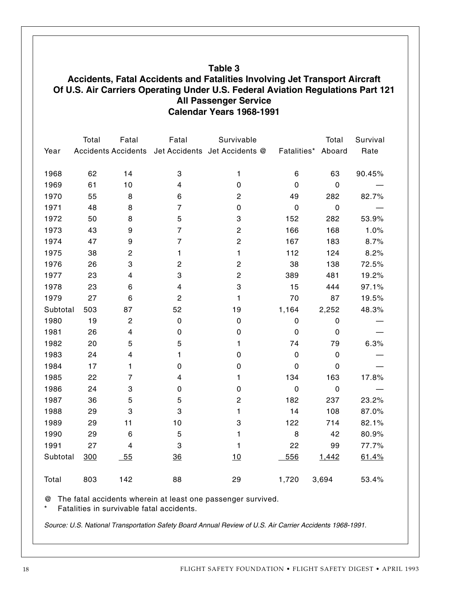#### **Table 3**

#### **Accidents, Fatal Accidents and Fatalities Involving Jet Transport Aircraft Of U.S. Air Carriers Operating Under U.S. Federal Aviation Regulations Part 121 All Passenger Service Calendar Years 1968-1991**

|          | Total | Fatal                      | Fatal                     | Survivable                    |             | Total       | Survival |
|----------|-------|----------------------------|---------------------------|-------------------------------|-------------|-------------|----------|
| Year     |       | <b>Accidents Accidents</b> |                           | Jet Accidents Jet Accidents @ | Fatalities* | Aboard      | Rate     |
| 1968     | 62    | 14                         | 3                         | 1                             | 6           | 63          | 90.45%   |
| 1969     | 61    | 10                         | 4                         | 0                             | 0           | $\mathbf 0$ |          |
|          | 55    | 8                          |                           |                               |             |             |          |
| 1970     |       |                            | 6                         | $\mathbf 2$                   | 49          | 282         | 82.7%    |
| 1971     | 48    | 8                          | $\overline{7}$            | 0                             | $\mathbf 0$ | $\mathbf 0$ |          |
| 1972     | 50    | 8                          | 5                         | 3                             | 152         | 282         | 53.9%    |
| 1973     | 43    | 9                          | $\overline{7}$            | $\overline{c}$                | 166         | 168         | 1.0%     |
| 1974     | 47    | 9                          | $\overline{7}$            | $\mathbf 2$                   | 167         | 183         | 8.7%     |
| 1975     | 38    | $\overline{c}$             | 1                         | 1                             | 112         | 124         | 8.2%     |
| 1976     | 26    | 3                          | $\overline{c}$            | $\overline{c}$                | 38          | 138         | 72.5%    |
| 1977     | 23    | 4                          | $\ensuremath{\mathsf{3}}$ | $\mathbf 2$                   | 389         | 481         | 19.2%    |
| 1978     | 23    | $\,6$                      | 4                         | 3                             | 15          | 444         | 97.1%    |
| 1979     | 27    | 6                          | $\overline{c}$            | 1                             | 70          | 87          | 19.5%    |
| Subtotal | 503   | 87                         | 52                        | 19                            | 1,164       | 2,252       | 48.3%    |
| 1980     | 19    | $\overline{c}$             | $\pmb{0}$                 | $\mathbf 0$                   | $\mathbf 0$ | $\pmb{0}$   |          |
| 1981     | 26    | 4                          | $\mathbf 0$               | $\pmb{0}$                     | 0           | $\mathbf 0$ |          |
| 1982     | 20    | 5                          | 5                         | 1                             | 74          | 79          | 6.3%     |
| 1983     | 24    | 4                          | 1                         | 0                             | $\mathbf 0$ | $\mathbf 0$ |          |
| 1984     | 17    | 1                          | 0                         | 0                             | 0           | $\mathbf 0$ |          |
| 1985     | 22    | $\overline{7}$             | 4                         | 1                             | 134         | 163         | 17.8%    |
| 1986     | 24    | 3                          | $\mathbf 0$               | 0                             | $\mathbf 0$ | $\pmb{0}$   |          |
| 1987     | 36    | 5                          | 5                         | $\mathbf 2$                   | 182         | 237         | 23.2%    |
| 1988     | 29    | 3                          | 3                         | 1                             | 14          | 108         | 87.0%    |
| 1989     | 29    | 11                         | 10                        | 3                             | 122         | 714         | 82.1%    |
| 1990     | 29    | $\,6$                      | 5                         | 1                             | 8           | 42          | 80.9%    |
| 1991     | 27    | 4                          | 3                         | 1                             | 22          | 99          | 77.7%    |
| Subtotal | 300   | $-55$                      | 36                        | 10                            | 556         | 1,442       | 61.4%    |
|          |       |                            |                           |                               |             |             |          |
| Total    | 803   | 142                        | 88                        | 29                            | 1,720       | 3,694       | 53.4%    |

@ The fatal accidents wherein at least one passenger survived.

Fatalities in survivable fatal accidents.

Source: U.S. National Transportation Safety Board Annual Review of U.S. Air Carrier Accidents 1968-1991.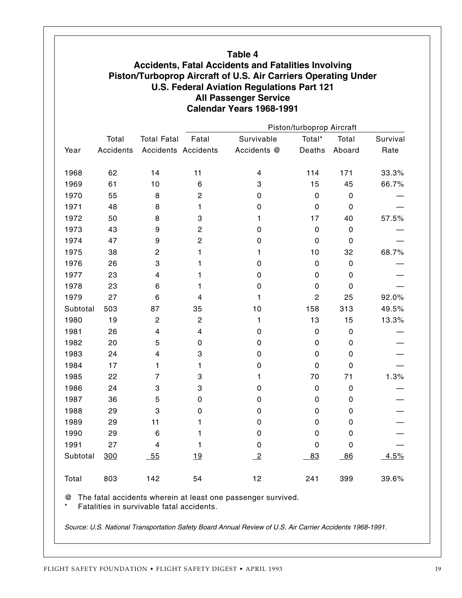|          |                  |                            |                           | <b>All Passenger Service</b><br>Calendar Years 1968-1991 |                |             |          |  |
|----------|------------------|----------------------------|---------------------------|----------------------------------------------------------|----------------|-------------|----------|--|
|          |                  |                            | Piston/turboprop Aircraft |                                                          |                |             |          |  |
|          | Total            | <b>Total Fatal</b>         | Fatal                     | Survivable                                               | Total*         | Total       | Survival |  |
| Year     | <b>Accidents</b> | <b>Accidents Accidents</b> |                           | Accidents @                                              | Deaths         | Aboard      | Rate     |  |
| 1968     | 62               | 14                         | 11                        | 4                                                        | 114            | 171         | 33.3%    |  |
| 1969     | 61               | 10                         | 6                         | 3                                                        | 15             | 45          | 66.7%    |  |
| 1970     | 55               | 8                          | $\overline{c}$            | 0                                                        | 0              | $\mathbf 0$ |          |  |
| 1971     | 48               | 8                          | 1                         | 0                                                        | 0              | 0           |          |  |
| 1972     | 50               | 8                          | 3                         | 1                                                        | 17             | 40          | 57.5%    |  |
| 1973     | 43               | 9                          | 2                         | 0                                                        | 0              | $\mathbf 0$ |          |  |
| 1974     | 47               | 9                          | 2                         | 0                                                        | 0              | 0           |          |  |
| 1975     | 38               | $\overline{c}$             | 1                         | 1                                                        | 10             | 32          | 68.7%    |  |
| 1976     | 26               | 3                          | 1                         | 0                                                        | 0              | 0           |          |  |
| 1977     | 23               | 4                          | 1                         | 0                                                        | 0              | $\mathbf 0$ |          |  |
| 1978     | 23               | 6                          | 1                         | 0                                                        | 0              | 0           |          |  |
| 1979     | 27               | 6                          | 4                         | 1                                                        | $\overline{c}$ | 25          | 92.0%    |  |
| Subtotal | 503              | 87                         | 35                        | 10                                                       | 158            | 313         | 49.5%    |  |
| 1980     | 19               | $\overline{c}$             | $\overline{c}$            | 1                                                        | 13             | 15          | 13.3%    |  |
| 1981     | 26               | 4                          | 4                         | 0                                                        | 0              | 0           |          |  |
| 1982     | 20               | 5                          | 0                         | 0                                                        | 0              | 0           |          |  |
| 1983     | 24               | 4                          | 3                         | 0                                                        | 0              | 0           |          |  |
| 1984     | 17               | 1                          | 1                         | 0                                                        | 0              | 0           |          |  |
| 1985     | 22               | 7                          | 3                         | 1                                                        | 70             | 71          | 1.3%     |  |
| 1986     | 24               | 3                          | 3                         | 0                                                        | $\mathbf 0$    | $\mathbf 0$ |          |  |
| 1987     | 36               | 5                          | 0                         | 0                                                        | 0              | 0           |          |  |
| 1988     | 29               | 3                          | 0                         | 0                                                        | 0              | 0           |          |  |
| 1989     | 29               | 11                         | 1                         | 0                                                        | 0              | 0           |          |  |
| 1990     | 29               | 6                          | 1                         | 0                                                        | 0              | 0           |          |  |
| 1991     | 27               | 4                          | 1                         | 0                                                        | 0              | 0           |          |  |
| Subtotal | 300              | $-55$                      | <u>19</u>                 | $\overline{-2}$                                          | 83             | 86          | 4.5%     |  |

\* Fatalities in survivable fatal accidents.

Source: U.S. National Transportation Safety Board Annual Review of U.S. Air Carrier Accidents 1968-1991.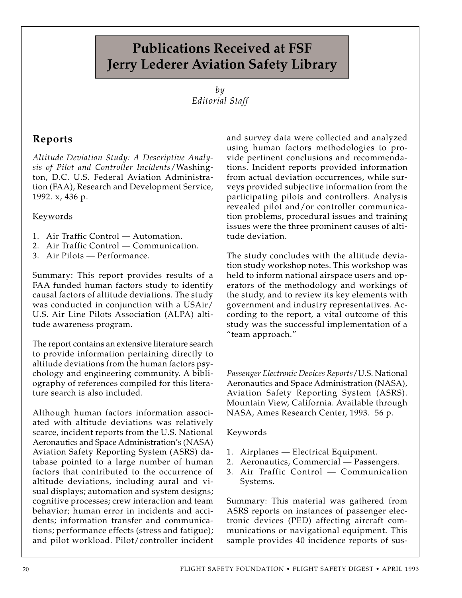# **Publications Received at FSF Jerry Lederer Aviation Safety Library**

*by Editorial Staff*

# **Reports**

*Altitude Deviation Study: A Descriptive Analysis of Pilot and Controller Incidents*/Washington, D.C. U.S. Federal Aviation Administration (FAA), Research and Development Service, 1992. x, 436 p.

#### Keywords

- 1. Air Traffic Control Automation.
- 2. Air Traffic Control Communication.
- 3. Air Pilots Performance.

Summary: This report provides results of a FAA funded human factors study to identify causal factors of altitude deviations. The study was conducted in conjunction with a USAir/ U.S. Air Line Pilots Association (ALPA) altitude awareness program.

The report contains an extensive literature search to provide information pertaining directly to altitude deviations from the human factors psychology and engineering community. A bibliography of references compiled for this literature search is also included.

Although human factors information associated with altitude deviations was relatively scarce, incident reports from the U.S. National Aeronautics and Space Administration's (NASA) Aviation Safety Reporting System (ASRS) database pointed to a large number of human factors that contributed to the occurrence of altitude deviations, including aural and visual displays; automation and system designs; cognitive processes; crew interaction and team behavior; human error in incidents and accidents; information transfer and communications; performance effects (stress and fatigue); and pilot workload. Pilot/controller incident

and survey data were collected and analyzed using human factors methodologies to provide pertinent conclusions and recommendations. Incident reports provided information from actual deviation occurrences, while surveys provided subjective information from the participating pilots and controllers. Analysis revealed pilot and/or controller communication problems, procedural issues and training issues were the three prominent causes of altitude deviation.

The study concludes with the altitude deviation study workshop notes. This workshop was held to inform national airspace users and operators of the methodology and workings of the study, and to review its key elements with government and industry representatives. According to the report, a vital outcome of this study was the successful implementation of a "team approach."

*Passenger Electronic Devices Reports*/U.S. National Aeronautics and Space Administration (NASA), Aviation Safety Reporting System (ASRS). Mountain View, California. Available through NASA, Ames Research Center, 1993. 56 p.

#### Keywords

- 1. Airplanes Electrical Equipment.
- 2. Aeronautics, Commercial Passengers.
- 3. Air Traffic Control Communication Systems.

Summary: This material was gathered from ASRS reports on instances of passenger electronic devices (PED) affecting aircraft communications or navigational equipment. This sample provides 40 incidence reports of sus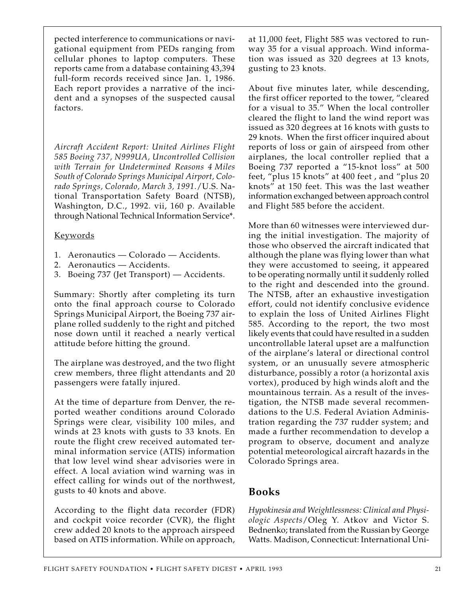pected interference to communications or navigational equipment from PEDs ranging from cellular phones to laptop computers. These reports came from a database containing 43,394 full-form records received since Jan. 1, 1986. Each report provides a narrative of the incident and a synopses of the suspected causal factors.

*Aircraft Accident Report: United Airlines Flight 585 Boeing 737, N999UA, Uncontrolled Collision with Terrain for Undetermined Reasons 4 Miles South of Colorado Springs Municipal Airport, Colorado Springs, Colorado, March 3, 1991.*/U.S. National Transportation Safety Board (NTSB), Washington, D.C., 1992. vii, 160 p. Available through National Technical Information Service\*.

#### Keywords

- 1. Aeronautics Colorado Accidents.
- 2. Aeronautics Accidents.
- 3. Boeing 737 (Jet Transport) Accidents.

Summary: Shortly after completing its turn onto the final approach course to Colorado Springs Municipal Airport, the Boeing 737 airplane rolled suddenly to the right and pitched nose down until it reached a nearly vertical attitude before hitting the ground.

The airplane was destroyed, and the two flight crew members, three flight attendants and 20 passengers were fatally injured.

At the time of departure from Denver, the reported weather conditions around Colorado Springs were clear, visibility 100 miles, and winds at 23 knots with gusts to 33 knots. En route the flight crew received automated terminal information service (ATIS) information that low level wind shear advisories were in effect. A local aviation wind warning was in effect calling for winds out of the northwest, gusts to 40 knots and above.

According to the flight data recorder (FDR) and cockpit voice recorder (CVR), the flight crew added 20 knots to the approach airspeed based on ATIS information. While on approach,

at 11,000 feet, Flight 585 was vectored to runway 35 for a visual approach. Wind information was issued as 320 degrees at 13 knots, gusting to 23 knots.

About five minutes later, while descending, the first officer reported to the tower, "cleared for a visual to 35." When the local controller cleared the flight to land the wind report was issued as 320 degrees at 16 knots with gusts to 29 knots. When the first officer inquired about reports of loss or gain of airspeed from other airplanes, the local controller replied that a Boeing 737 reported a "15-knot loss" at 500 feet, "plus 15 knots" at 400 feet , and "plus 20 knots" at 150 feet. This was the last weather information exchanged between approach control and Flight 585 before the accident.

More than 60 witnesses were interviewed during the initial investigation. The majority of those who observed the aircraft indicated that although the plane was flying lower than what they were accustomed to seeing, it appeared to be operating normally until it suddenly rolled to the right and descended into the ground. The NTSB, after an exhaustive investigation effort, could not identify conclusive evidence to explain the loss of United Airlines Flight 585. According to the report, the two most likely events that could have resulted in a sudden uncontrollable lateral upset are a malfunction of the airplane's lateral or directional control system, or an unusually severe atmospheric disturbance, possibly a rotor (a horizontal axis vortex), produced by high winds aloft and the mountainous terrain. As a result of the investigation, the NTSB made several recommendations to the U.S. Federal Aviation Administration regarding the 737 rudder system; and made a further recommendation to develop a program to observe, document and analyze potential meteorological aircraft hazards in the Colorado Springs area.

## **Books**

*Hypokinesia and Weightlessness: Clinical and Physiologic Aspects*/Oleg Y. Atkov and Victor S. Bednenko; translated from the Russian by George Watts. Madison, Connecticut: International Uni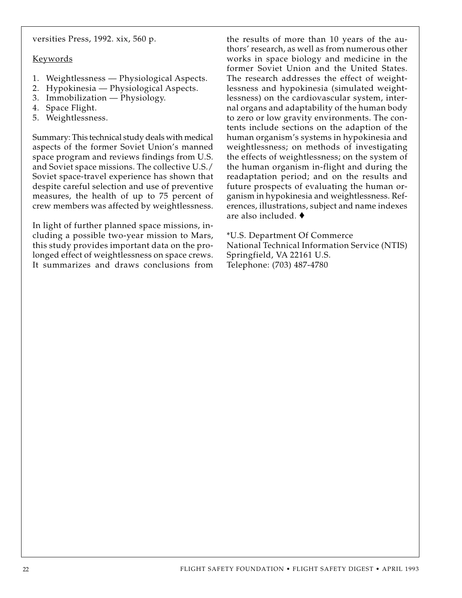versities Press, 1992. xix, 560 p.

#### Keywords

- 1. Weightlessness Physiological Aspects.
- 2. Hypokinesia Physiological Aspects.
- 3. Immobilization Physiology.
- 4. Space Flight.
- 5. Weightlessness.

Summary: This technical study deals with medical aspects of the former Soviet Union's manned space program and reviews findings from U.S. and Soviet space missions. The collective U.S./ Soviet space-travel experience has shown that despite careful selection and use of preventive measures, the health of up to 75 percent of crew members was affected by weightlessness.

In light of further planned space missions, including a possible two-year mission to Mars, this study provides important data on the prolonged effect of weightlessness on space crews. It summarizes and draws conclusions from the results of more than 10 years of the authors' research, as well as from numerous other works in space biology and medicine in the former Soviet Union and the United States. The research addresses the effect of weightlessness and hypokinesia (simulated weightlessness) on the cardiovascular system, internal organs and adaptability of the human body to zero or low gravity environments. The contents include sections on the adaption of the human organism's systems in hypokinesia and weightlessness; on methods of investigating the effects of weightlessness; on the system of the human organism in-flight and during the readaptation period; and on the results and future prospects of evaluating the human organism in hypokinesia and weightlessness. References, illustrations, subject and name indexes are also included. ♦

\*U.S. Department Of Commerce National Technical Information Service (NTIS) Springfield, VA 22161 U.S. Telephone: (703) 487-4780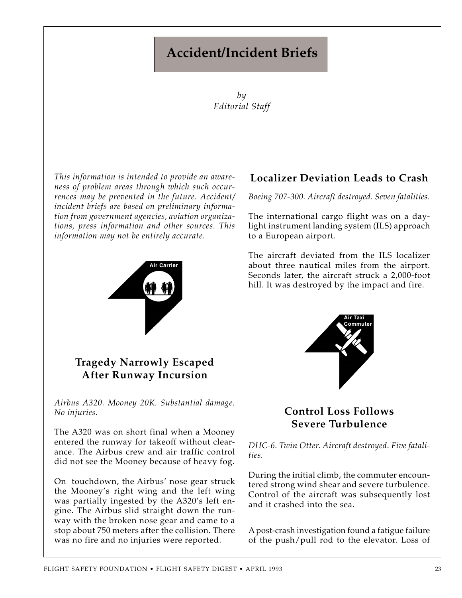# **Accident/Incident Briefs**

*by Editorial Staff*

*This information is intended to provide an awareness of problem areas through which such occurrences may be prevented in the future. Accident/ incident briefs are based on preliminary information from government agencies, aviation organizations, press information and other sources. This information may not be entirely accurate.*



### **Tragedy Narrowly Escaped After Runway Incursion**

*Airbus A320. Mooney 20K. Substantial damage. No injuries.*

The A320 was on short final when a Mooney entered the runway for takeoff without clearance. The Airbus crew and air traffic control did not see the Mooney because of heavy fog.

On touchdown, the Airbus' nose gear struck the Mooney's right wing and the left wing was partially ingested by the A320's left engine. The Airbus slid straight down the runway with the broken nose gear and came to a stop about 750 meters after the collision. There was no fire and no injuries were reported.

## **Localizer Deviation Leads to Crash**

*Boeing 707-300. Aircraft destroyed. Seven fatalities.*

The international cargo flight was on a daylight instrument landing system (ILS) approach to a European airport.

The aircraft deviated from the ILS localizer about three nautical miles from the airport. Seconds later, the aircraft struck a 2,000-foot hill. It was destroyed by the impact and fire.



### **Control Loss Follows Severe Turbulence**

*DHC-6. Twin Otter. Aircraft destroyed. Five fatalities.*

During the initial climb, the commuter encountered strong wind shear and severe turbulence. Control of the aircraft was subsequently lost and it crashed into the sea.

A post-crash investigation found a fatigue failure of the push/pull rod to the elevator. Loss of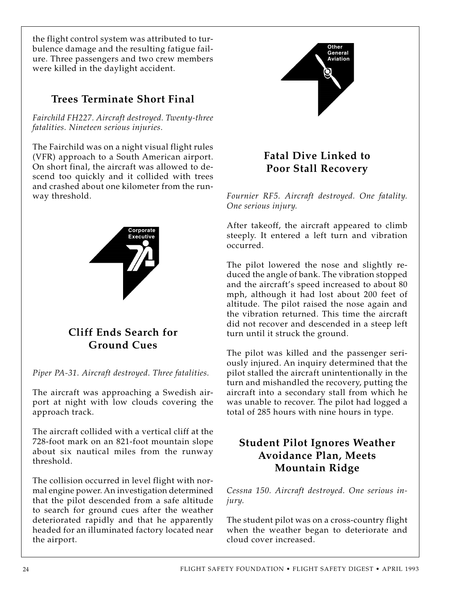the flight control system was attributed to turbulence damage and the resulting fatigue failure. Three passengers and two crew members were killed in the daylight accident.

# **Trees Terminate Short Final**

*Fairchild FH227. Aircraft destroyed. Twenty-three fatalities. Nineteen serious injuries.*

The Fairchild was on a night visual flight rules (VFR) approach to a South American airport. On short final, the aircraft was allowed to descend too quickly and it collided with trees and crashed about one kilometer from the runway threshold.



**Cliff Ends Search for Ground Cues**

*Piper PA-31. Aircraft destroyed. Three fatalities.*

The aircraft was approaching a Swedish airport at night with low clouds covering the approach track.

The aircraft collided with a vertical cliff at the 728-foot mark on an 821-foot mountain slope about six nautical miles from the runway threshold.

The collision occurred in level flight with normal engine power. An investigation determined that the pilot descended from a safe altitude to search for ground cues after the weather deteriorated rapidly and that he apparently headed for an illuminated factory located near the airport.



# **Fatal Dive Linked to Poor Stall Recovery**

*Fournier RF5. Aircraft destroyed. One fatality. One serious injury.*

After takeoff, the aircraft appeared to climb steeply. It entered a left turn and vibration occurred.

The pilot lowered the nose and slightly reduced the angle of bank. The vibration stopped and the aircraft's speed increased to about 80 mph, although it had lost about 200 feet of altitude. The pilot raised the nose again and the vibration returned. This time the aircraft did not recover and descended in a steep left turn until it struck the ground.

The pilot was killed and the passenger seriously injured. An inquiry determined that the pilot stalled the aircraft unintentionally in the turn and mishandled the recovery, putting the aircraft into a secondary stall from which he was unable to recover. The pilot had logged a total of 285 hours with nine hours in type.

# **Student Pilot Ignores Weather Avoidance Plan, Meets Mountain Ridge**

*Cessna 150. Aircraft destroyed. One serious injury.*

The student pilot was on a cross-country flight when the weather began to deteriorate and cloud cover increased.